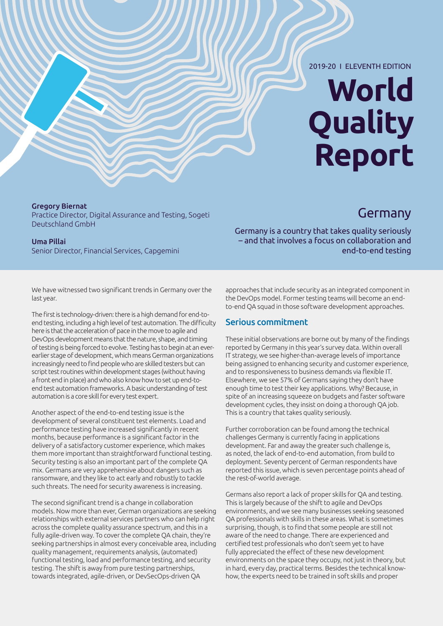#### 2019-20 I ELEVENTH EDITION

# **World Quality Report**

Germany

Gregory Biernat Practice Director, Digital Assurance and Testing, Sogeti Deutschland GmbH

#### Uma Pillai Senior Director, Financial Services, Capgemini

Germany is a country that takes quality seriously – and that involves a focus on collaboration and end-to-end testing

We have witnessed two significant trends in Germany over the last year.

The first is technology-driven: there is a high demand for end-toend testing, including a high level of test automation. The difficulty here is that the acceleration of pace in the move to agile and DevOps development means that the nature, shape, and timing of testing is being forced to evolve. Testing has to begin at an everearlier stage of development, which means German organizations increasingly need to find people who are skilled testers but can script test routines within development stages (without having a front end in place) and who also know how to set up end-toend test automation frameworks. A basic understanding of test automation is a core skill for every test expert.

Another aspect of the end-to-end testing issue is the development of several constituent test elements. Load and performance testing have increased significantly in recent months, because performance is a significant factor in the delivery of a satisfactory customer experience, which makes them more important than straightforward functional testing. Security testing is also an important part of the complete QA mix. Germans are very apprehensive about dangers such as ransomware, and they like to act early and robustly to tackle such threats. The need for security awareness is increasing.

The second significant trend is a change in collaboration models. Now more than ever, German organizations are seeking relationships with external services partners who can help right across the complete quality assurance spectrum, and this in a fully agile-driven way. To cover the complete QA chain, they're seeking partnerships in almost every conceivable area, including quality management, requirements analysis, (automated) functional testing, load and performance testing, and security testing. The shift is away from pure testing partnerships, towards integrated, agile-driven, or DevSecOps-driven QA

approaches that include security as an integrated component in the DevOps model. Former testing teams will become an endto-end QA squad in those software development approaches.

### Serious commitment

These initial observations are borne out by many of the findings reported by Germany in this year's survey data. Within overall IT strategy, we see higher-than-average levels of importance being assigned to enhancing security and customer experience, and to responsiveness to business demands via flexible IT. Elsewhere, we see 57% of Germans saying they don't have enough time to test their key applications. Why? Because, in spite of an increasing squeeze on budgets and faster software development cycles, they insist on doing a thorough QA job. This is a country that takes quality seriously.

Further corroboration can be found among the technical challenges Germany is currently facing in applications development. Far and away the greater such challenge is, as noted, the lack of end-to-end automation, from build to deployment. Seventy percent of German respondents have reported this issue, which is seven percentage points ahead of the rest-of-world average.

Germans also report a lack of proper skills for QA and testing. This is largely because of the shift to agile and DevOps environments, and we see many businesses seeking seasoned QA professionals with skills in these areas. What is sometimes surprising, though, is to find that some people are still not aware of the need to change. There are experienced and certified test professionals who don't seem yet to have fully appreciated the effect of these new development environments on the space they occupy, not just in theory, but in hard, every day, practical terms. Besides the technical knowhow, the experts need to be trained in soft skills and proper